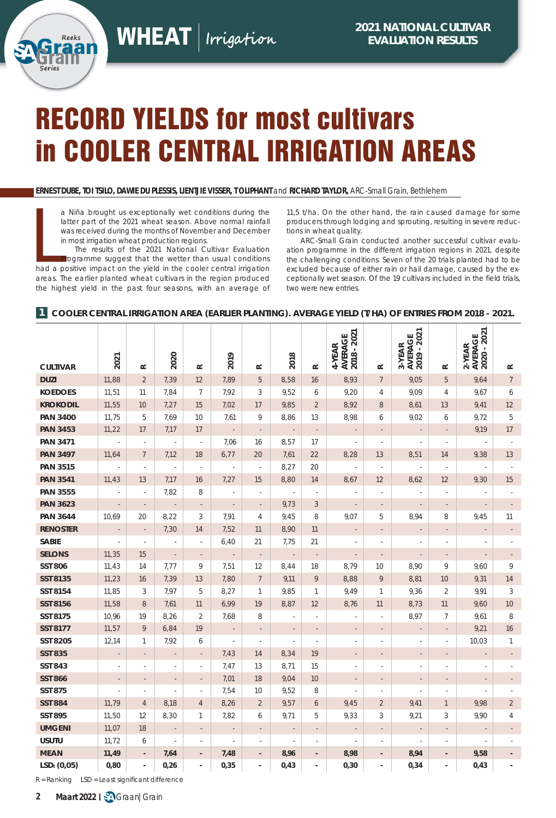# RECORD YIELDS for most cultivars in COOLER CENTRAL IRRIGATION AREAS

**ERNEST DUBE, TOI TSILO, DAWIE DU PLESSIS, LIENTJIE VISSER, T OLIPHANT** and **RICHARD TAYLOR,** ARC-Small Grain, Bethlehem

a Niña brought us exceptionally wet conditions during the<br>latter part of the 2021 wheat season. Above normal rainfall<br>was received during the months of November and December<br>in most irrigation wheat production regions.<br>The a Niña brought us exceptionally wet conditions during the latter part of the 2021 wheat season. Above normal rainfall was received during the months of November and December in most irrigation wheat production regions.

The results of the 2021 National Cultivar Evaluation Programme suggest that the wetter than usual conditions areas. The earlier planted wheat cultivars in the region produced the highest yield in the past four seasons, with an average of

**Series**

11,5 t/ha. On the other hand, the rain caused damage for some producers through lodging and sprouting, resulting in severe reductions in wheat quality.

ARC-Small Grain conducted another successful cultivar evaluation programme in the different irrigation regions in 2021, despite the challenging conditions. Seven of the 20 trials planted had to be excluded because of either rain or hail damage, caused by the exceptionally wet season. Of the 19 cultivars included in the field trials, two were new entries.

#### **1 COOLER CENTRAL IRRIGATION AREA (EARLIER PLANTING). AVERAGE YIELD (T/HA) OF ENTRIES FROM 2018 - 2021.**

| <b>CULTIVAR</b>         | 2021                     | $\approx$                | 2020                     | $\simeq$                 | 2019                     | $\simeq$                 | 2018                     | $\approx$                | AVERAGE<br>2018 - 2021<br>4-YEAR | $\simeq$                 | AVERAGE<br>2019 - 2021<br>3-YEAR | $\simeq$                 | AVERAGE<br>2020 - 2021<br>2-YEAR | $\approx$                |
|-------------------------|--------------------------|--------------------------|--------------------------|--------------------------|--------------------------|--------------------------|--------------------------|--------------------------|----------------------------------|--------------------------|----------------------------------|--------------------------|----------------------------------|--------------------------|
| <b>DUZI</b>             | 11,88                    | $\overline{2}$           | 7,39                     | 12                       | 7,89                     | 5                        | 8,58                     | 16                       | 8,93                             | $7\overline{ }$          | 9,05                             | 5                        | 9,64                             | $7\overline{ }$          |
| <b>KOEDOES</b>          | 11,51                    | 11                       | 7,84                     | $7\overline{ }$          | 7,92                     | 3                        | 9,52                     | 6                        | 9,20                             | $\overline{4}$           | 9,09                             | $\overline{4}$           | 9,67                             | 6                        |
| <b>KROKODIL</b>         | 11,55                    | 10                       | 7,27                     | 15                       | 7,02                     | 17                       | 9,85                     | $\overline{2}$           | 8,92                             | 8                        | 8,61                             | 13                       | 9,41                             | 12                       |
| <b>PAN 3400</b>         | 11,75                    | 5                        | 7,69                     | 10                       | 7,61                     | 9                        | 8,86                     | 13                       | 8,98                             | 6                        | 9,02                             | 6                        | 9,72                             | 5                        |
| <b>PAN 3453</b>         | 11,22                    | 17                       | 7,17                     | 17                       | $\mathcal{L}$            | $\overline{\phantom{a}}$ | $\overline{\phantom{a}}$ | ÷,                       | $\sim$                           | ÷,                       | ÷,                               | $\overline{a}$           | 9,19                             | 17                       |
| <b>PAN 3471</b>         | ÷,                       | $\overline{\phantom{a}}$ | $\overline{\phantom{a}}$ | $\overline{\phantom{a}}$ | 7,06                     | 16                       | 8,57                     | 17                       | $\overline{\phantom{a}}$         | J.                       | $\overline{\phantom{a}}$         | $\bar{a}$                | $\overline{\phantom{a}}$         |                          |
| <b>PAN 3497</b>         | 11,64                    | $\overline{7}$           | 7,12                     | 18                       | 6,77                     | 20                       | 7,61                     | 22                       | 8,28                             | 13                       | 8,51                             | 14                       | 9,38                             | 13                       |
| <b>PAN 3515</b>         |                          | J,                       | J,                       | J,                       | J,                       | $\overline{\phantom{a}}$ | 8,27                     | 20                       | ä,                               | ä,                       | ä,                               | ä,                       | ä,                               |                          |
| <b>PAN 3541</b>         | 11,43                    | 13                       | 7,17                     | 16                       | 7,27                     | 15                       | 8,80                     | 14                       | 8,67                             | 12                       | 8,62                             | 12                       | 9,30                             | 15                       |
| <b>PAN 3555</b>         |                          | ×,                       | 7,82                     | 8                        | ÷,                       | ä,                       |                          | Ĭ.                       |                                  |                          |                                  |                          |                                  |                          |
| <b>PAN 3623</b>         |                          | $\overline{\phantom{a}}$ |                          | $\overline{\phantom{a}}$ | $\overline{\phantom{a}}$ | $\overline{\phantom{a}}$ | 9,73                     | 3                        | $\overline{\phantom{a}}$         |                          |                                  |                          |                                  |                          |
| <b>PAN 3644</b>         | 10,69                    | 20                       | 8,22                     | 3                        | 7,91                     | 4                        | 9,45                     | 8                        | 9,07                             | 5                        | 8,94                             | 8                        | 9,45                             | 11                       |
| <b>RENOSTER</b>         | $\overline{\phantom{a}}$ | $\overline{\phantom{a}}$ | 7,30                     | 14                       | 7,52                     | 11                       | 8,90                     | 11                       | $\overline{\phantom{a}}$         | $\overline{\phantom{a}}$ | $\overline{\phantom{a}}$         | $\overline{\phantom{a}}$ | $\overline{\phantom{a}}$         | $\overline{\phantom{a}}$ |
| SABIE                   | ٠                        | $\overline{\phantom{a}}$ | $\overline{\phantom{a}}$ | ×                        | 6,40                     | 21                       | 7,75                     | 21                       | ×,                               | ×,                       |                                  | ×                        | ×,                               |                          |
| <b>SELONS</b>           | 11,35                    | 15                       | $\overline{\phantom{a}}$ | $\overline{a}$           | ÷,                       | $\overline{\phantom{a}}$ | $\sim$                   | $\overline{\phantom{a}}$ | $\overline{\phantom{a}}$         | $\overline{a}$           | $\overline{a}$                   | $\overline{\phantom{a}}$ | $\overline{\phantom{a}}$         |                          |
| <b>SST 806</b>          | 11,43                    | 14                       | 7,77                     | 9                        | 7,51                     | 12                       | 8,44                     | 18                       | 8,79                             | 10                       | 8,90                             | 9                        | 9,60                             | 9                        |
| <b>SST 8135</b>         | 11,23                    | 16                       | 7,39                     | 13                       | 7,80                     | $\overline{7}$           | 9,11                     | 9                        | 8,88                             | 9                        | 8,81                             | 10                       | 9,31                             | 14                       |
| SST 8154                | 11,85                    | 3                        | 7,97                     | 5                        | 8,27                     | $\mathbf{1}$             | 9,85                     | $\mathbf{1}$             | 9,49                             | $\mathbf{1}$             | 9,36                             | $\overline{2}$           | 9,91                             | 3                        |
| <b>SST 8156</b>         | 11,58                    | 8                        | 7,61                     | 11                       | 6,99                     | 19                       | 8,87                     | 12                       | 8,76                             | 11                       | 8,73                             | 11                       | 9,60                             | 10                       |
| SST 8175                | 10,96                    | 19                       | 8,26                     | $\overline{2}$           | 7,68                     | 8                        |                          |                          |                                  |                          | 8,97                             | $\overline{7}$           | 9,61                             | 8                        |
| <b>SST 8177</b>         | 11,57                    | 9                        | 6,84                     | 19                       | $\overline{\phantom{a}}$ | $\blacksquare$           | $\overline{a}$           | ÷,                       | $\overline{\phantom{a}}$         |                          | $\overline{a}$                   | $\sim$                   | 9,21                             | 16                       |
| <b>SST 8205</b>         | 12,14                    | $\mathbf{1}$             | 7,92                     | 6                        | ÷,                       | ä,                       | ł,                       | à,                       | ä,                               |                          | $\overline{\phantom{a}}$         | $\overline{\phantom{a}}$ | 10,03                            | $\mathbf{1}$             |
| <b>SST 835</b>          | $\overline{\phantom{a}}$ | $\sim$                   | $\overline{\phantom{a}}$ | $\overline{\phantom{a}}$ | 7,43                     | 14                       | 8,34                     | 19                       | $\overline{\phantom{a}}$         | $\overline{\phantom{a}}$ | $\overline{\phantom{a}}$         | $\overline{\phantom{a}}$ | $\overline{\phantom{a}}$         | $\overline{\phantom{a}}$ |
| <b>SST 843</b>          | $\sim$                   | $\sim$                   | $\overline{\phantom{a}}$ | $\overline{\phantom{a}}$ | 7,47                     | 13                       | 8,71                     | 15                       | $\overline{\phantom{a}}$         | $\overline{a}$           | $\overline{\phantom{a}}$         | $\overline{\phantom{a}}$ | $\overline{\phantom{a}}$         |                          |
| <b>SST 866</b>          | $\overline{\phantom{a}}$ | $\overline{\phantom{a}}$ | ÷,                       | $\sim$                   | 7,01                     | 18                       | 9,04                     | 10                       | $\overline{\phantom{a}}$         | ÷,                       | ÷,                               | $\overline{\phantom{a}}$ | $\overline{\phantom{a}}$         |                          |
| <b>SST 875</b>          |                          | ÷,                       | $\overline{\phantom{a}}$ | $\bar{z}$                | 7,54                     | 10                       | 9,52                     | 8                        | ÷,                               | ×,                       | ä,                               | $\bar{z}$                | $\overline{\phantom{a}}$         |                          |
| <b>SST 884</b>          | 11,79                    | $\overline{4}$           | 8,18                     | $\overline{4}$           | 8,26                     | $\overline{2}$           | 9,57                     | 6                        | 9,45                             | $\overline{2}$           | 9,41                             | $\mathbf{1}$             | 9,98                             | $\overline{2}$           |
| <b>SST 895</b>          | 11,50                    | 12                       | 8,30                     | $\mathbf{1}$             | 7,82                     | 6                        | 9,71                     | 5                        | 9,33                             | 3                        | 9,21                             | 3                        | 9,90                             | 4                        |
| <b>UMGENI</b>           | 11,07                    | 18                       | $\sim$                   | $\overline{\phantom{a}}$ | $\overline{\phantom{a}}$ | $\overline{\phantom{a}}$ | ÷,                       | $\overline{\phantom{a}}$ | $\overline{\phantom{a}}$         | $\overline{a}$           | $\overline{\phantom{a}}$         | $\sim$                   | $\overline{\phantom{a}}$         | $\overline{a}$           |
| <b>USUTU</b>            | 11,72                    | 6                        | ×,                       | ä,                       | ÷,                       | ä,                       |                          |                          | ×,                               |                          |                                  |                          |                                  |                          |
| <b>MEAN</b>             | 11,49                    | $\overline{\phantom{a}}$ | 7,64                     |                          | 7,48                     | $\blacksquare$           | 8,96                     | $\overline{a}$           | 8,98                             | ÷,                       | 8,94                             |                          | 9,58                             |                          |
| LSD <sub>t</sub> (0,05) | 0,80                     | $\overline{\phantom{a}}$ | 0,26                     | ä,                       | 0,35                     | ä,                       | 0,43                     | ä,                       | 0,30                             | ä,                       | 0,34                             | ÷.                       | 0,43                             |                          |

 $R =$  Ranking LSD = Least significant difference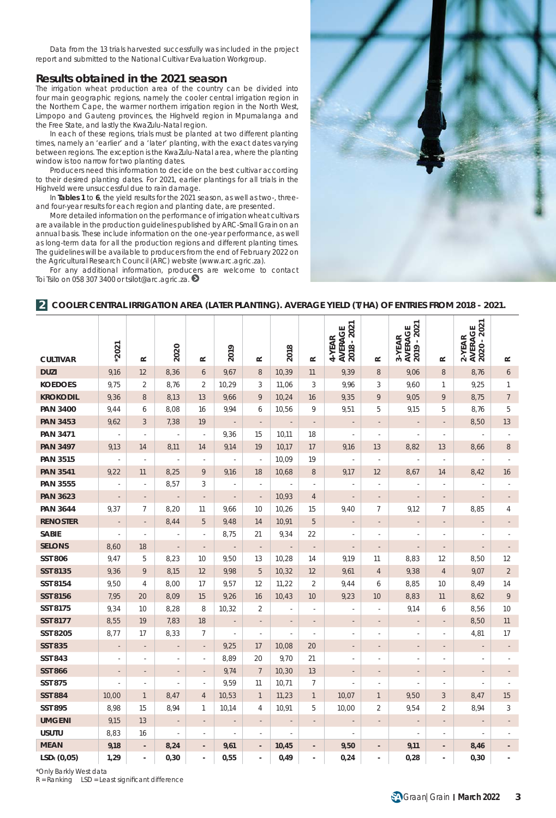Data from the 13 trials harvested successfully was included in the project report and submitted to the National Cultivar Evaluation Workgroup.

## **Results obtained in the 2021 season**

The irrigation wheat production area of the country can be divided into four main geographic regions, namely the cooler central irrigation region in the Northern Cape, the warmer northern irrigation region in the North West, Limpopo and Gauteng provinces, the Highveld region in Mpumalanga and the Free State, and lastly the KwaZulu-Natal region.

In each of these regions, trials must be planted at two different planting times, namely an 'earlier' and a 'later' planting, with the exact dates varying between regions. The exception is the KwaZulu-Natal area, where the planting window is too narrow for two planting dates.

Producers need this information to decide on the best cultivar according to their desired planting dates. For 2021, earlier plantings for all trials in the Highveld were unsuccessful due to rain damage.

In **Tables 1** to **6**, the yield results for the 2021 season, as well as two-, threeand four-year results for each region and planting date, are presented.

More detailed information on the performance of irrigation wheat cultivars are available in the production guidelines published by ARC-Small Grain on an annual basis. These include information on the one-year performance, as well as long-term data for all the production regions and different planting times. The guidelines will be available to producers from the end of February 2022 on the Agricultural Research Council (ARC) website (*www.arc.agric.za*).

For any additional information, producers are welcome to contact Toi Tsilo on 058 307 3400 or *tsilot@arc.agric.za*.



#### **2 COOLER CENTRAL IRRIGATION AREA (LATER PLANTING). AVERAGE YIELD (T/HA) OF ENTRIES FROM 2018 - 2021.**

|                 |                          |                          |                          |                          |                          |                          |                          |                          | AVERAGE<br>2018 - 2021   |                          | 2019 - 2021<br>AVERAGE   |                          | 2020 - 2021<br>AVERAGE   |                          |
|-----------------|--------------------------|--------------------------|--------------------------|--------------------------|--------------------------|--------------------------|--------------------------|--------------------------|--------------------------|--------------------------|--------------------------|--------------------------|--------------------------|--------------------------|
| <b>CULTIVAR</b> | $*2021$                  | $\approx$                | 2020                     | $\approx$                | 2019                     | $\approx$                | 2018                     | $\simeq$                 | 4-YEAR                   | $\approx$                | 3-YEAR                   | $\simeq$                 | $2-YER$                  | $\approx$                |
| <b>DUZI</b>     | 9,16                     | 12                       | 8,36                     | 6                        | 9,67                     | $\,8\,$                  | 10,39                    | 11                       | 9,39                     | 8                        | 9,06                     | 8                        | 8,76                     | 6                        |
| <b>KOEDOES</b>  | 9,75                     | $\overline{2}$           | 8,76                     | $\overline{2}$           | 10,29                    | 3                        | 11,06                    | 3                        | 9,96                     | 3                        | 9,60                     | $\mathbf{1}$             | 9,25                     | $\mathbf{1}$             |
| <b>KROKODIL</b> | 9,36                     | $\,8\,$                  | 8,13                     | 13                       | 9,66                     | 9                        | 10,24                    | 16                       | 9,35                     | 9                        | 9,05                     | 9                        | 8,75                     | $\overline{7}$           |
| <b>PAN 3400</b> | 9,44                     | 6                        | 8,08                     | 16                       | 9,94                     | 6                        | 10,56                    | 9                        | 9,51                     | 5                        | 9,15                     | 5                        | 8,76                     | 5                        |
| <b>PAN 3453</b> | 9,62                     | 3                        | 7,38                     | 19                       | $\overline{\phantom{a}}$ | $\overline{\phantom{a}}$ | $\overline{\phantom{a}}$ | $\overline{\phantom{a}}$ | $\overline{\phantom{a}}$ | $\overline{\phantom{a}}$ | $\overline{\phantom{a}}$ | $\overline{\phantom{a}}$ | 8,50                     | 13                       |
| <b>PAN 3471</b> |                          | ×,                       |                          | i,                       | 9,36                     | 15                       | 10,11                    | 18                       | ä,                       | ä,                       | $\overline{\phantom{a}}$ | J,                       |                          |                          |
| <b>PAN 3497</b> | 9,13                     | 14                       | 8,11                     | 14                       | 9,14                     | 19                       | 10,17                    | 17                       | 9,16                     | 13                       | 8,82                     | 13                       | 8,66                     | $\,8\,$                  |
| <b>PAN 3515</b> |                          | ×,                       |                          | ä,                       |                          | ÷,                       | 10,09                    | 19                       | ä,                       | ×,                       |                          | ÷,                       |                          |                          |
| <b>PAN 3541</b> | 9,22                     | 11                       | 8,25                     | 9                        | 9,16                     | 18                       | 10,68                    | 8                        | 9,17                     | 12                       | 8,67                     | 14                       | 8,42                     | 16                       |
| <b>PAN 3555</b> | ×,                       | $\overline{\phantom{a}}$ | 8,57                     | 3                        | $\overline{a}$           |                          |                          | ×,                       |                          | $\overline{a}$           |                          | ×,                       |                          |                          |
| <b>PAN 3623</b> | $\overline{\phantom{a}}$ | $\overline{\phantom{a}}$ | $\blacksquare$           | $\overline{\phantom{a}}$ | $\overline{\phantom{a}}$ | $\overline{\phantom{a}}$ | 10,93                    | $\overline{4}$           | $\overline{\phantom{a}}$ | $\overline{\phantom{a}}$ | $\overline{\phantom{a}}$ | $\overline{\phantom{a}}$ | $\overline{\phantom{a}}$ |                          |
| <b>PAN 3644</b> | 9,37                     | 7                        | 8,20                     | 11                       | 9,66                     | 10                       | 10,26                    | 15                       | 9,40                     | 7                        | 9,12                     | 7                        | 8,85                     | 4                        |
| <b>RENOSTER</b> | $\overline{\phantom{a}}$ | $\overline{\phantom{a}}$ | 8,44                     | 5                        | 9,48                     | 14                       | 10,91                    | 5                        | $\overline{\phantom{a}}$ | $\overline{\phantom{a}}$ | $\overline{a}$           | $\overline{\phantom{a}}$ | ÷,                       |                          |
| <b>SABIE</b>    | ÷,                       | ×                        | ×,                       | ×,                       | 8,75                     | 21                       | 9,34                     | 22                       | ×                        | $\overline{a}$           | $\overline{\phantom{a}}$ | ×,                       |                          |                          |
| <b>SELONS</b>   | 8,60                     | 18                       | ÷,                       | $\overline{\phantom{m}}$ |                          |                          | $\overline{\phantom{a}}$ | $\overline{\phantom{a}}$ | $\overline{\phantom{a}}$ |                          | $\overline{a}$           |                          | $\overline{a}$           |                          |
| <b>SST 806</b>  | 9,47                     | 5                        | 8,23                     | 10                       | 9,50                     | 13                       | 10,28                    | 14                       | 9,19                     | 11                       | 8,83                     | 12                       | 8,50                     | 12                       |
| <b>SST 8135</b> | 9,36                     | 9                        | 8,15                     | 12                       | 9,98                     | 5                        | 10,32                    | 12                       | 9,61                     | $\overline{4}$           | 9,38                     | $\overline{4}$           | 9,07                     | $\overline{2}$           |
| SST 8154        | 9,50                     | $\overline{4}$           | 8,00                     | 17                       | 9,57                     | 12                       | 11,22                    | $\overline{2}$           | 9,44                     | 6                        | 8,85                     | 10                       | 8,49                     | 14                       |
| <b>SST 8156</b> | 7,95                     | 20                       | 8,09                     | 15                       | 9,26                     | 16                       | 10,43                    | 10                       | 9,23                     | 10                       | 8,83                     | 11                       | 8,62                     | 9                        |
| SST 8175        | 9,34                     | 10                       | 8,28                     | 8                        | 10,32                    | 2                        |                          | ×,                       | i.                       |                          | 9,14                     | 6                        | 8,56                     | 10                       |
| <b>SST 8177</b> | 8,55                     | 19                       | 7,83                     | 18                       |                          |                          |                          |                          |                          |                          |                          |                          | 8,50                     | 11                       |
| <b>SST 8205</b> | 8,77                     | 17                       | 8,33                     | 7                        | ÷,                       | $\overline{\phantom{a}}$ | ×,                       | ÷,                       | ٠                        | $\overline{a}$           |                          | ×,                       | 4,81                     | 17                       |
| <b>SST 835</b>  | $\overline{\phantom{a}}$ | $\overline{\phantom{a}}$ | $\overline{\phantom{a}}$ | $\overline{\phantom{a}}$ | 9,25                     | 17                       | 10,08                    | 20                       | $\overline{\phantom{a}}$ | $\overline{\phantom{a}}$ | $\overline{\phantom{a}}$ | $\overline{\phantom{a}}$ | $\overline{\phantom{a}}$ | $\overline{\phantom{a}}$ |
| <b>SST 843</b>  | ×,                       | ×,                       | ä,                       | ä,                       | 8,89                     | 20                       | 9,70                     | 21                       | ä,                       | $\overline{\phantom{a}}$ | ä,                       | ×,                       |                          |                          |
| <b>SST 866</b>  | $\overline{\phantom{a}}$ | $\overline{\phantom{a}}$ | $\overline{\phantom{a}}$ | $\overline{\phantom{a}}$ | 9,74                     | $7\phantom{.0}$          | 10,30                    | 13                       | $\overline{\phantom{a}}$ | $\overline{\phantom{a}}$ | $\overline{\phantom{a}}$ | $\overline{\phantom{a}}$ | $\overline{a}$           |                          |
| <b>SST 875</b>  | i,                       | ×,                       | ä,                       | ×,                       | 9,59                     | 11                       | 10,71                    | $\overline{7}$           | ä,                       | ٠                        | ×                        | ٠                        | ä,                       |                          |
| <b>SST 884</b>  | 10,00                    | $\mathbf{1}$             | 8,47                     | 4                        | 10,53                    | $\mathbf{1}$             | 11,23                    | $\mathbf{1}$             | 10,07                    | $\mathbf{1}$             | 9,50                     | 3                        | 8,47                     | 15                       |
| <b>SST 895</b>  | 8,98                     | 15                       | 8,94                     | 1                        | 10,14                    | 4                        | 10,91                    | 5                        | 10,00                    | $\overline{2}$           | 9,54                     | 2                        | 8,94                     | 3                        |
| <b>UMGENI</b>   | 9,15                     | 13                       | $\overline{\phantom{a}}$ | $\overline{\phantom{a}}$ | $\overline{\phantom{a}}$ | $\overline{\phantom{a}}$ | $\overline{\phantom{a}}$ | $\overline{\phantom{a}}$ | $\overline{\phantom{a}}$ | $\overline{\phantom{a}}$ | $\overline{\phantom{a}}$ | $\overline{\phantom{a}}$ | $\overline{\phantom{a}}$ | $\overline{\phantom{a}}$ |
| <b>USUTU</b>    | 8,83                     | 16                       | Ĭ.                       | $\overline{\phantom{a}}$ | $\overline{\phantom{a}}$ | $\overline{\phantom{a}}$ |                          |                          | ä,                       |                          | ä,                       | ×,                       | ł,                       |                          |
| <b>MEAN</b>     | 9,18                     | $\overline{\phantom{a}}$ | 8,24                     | ÷,                       | 9,61                     | $\overline{\phantom{a}}$ | 10,45                    | $\overline{\phantom{m}}$ | 9,50                     | $\overline{\phantom{a}}$ | 9,11                     | $\overline{\phantom{a}}$ | 8,46                     |                          |
| $LSDt$ (0,05)   | 1,29                     | $\overline{\phantom{a}}$ | 0, 30                    | ÷,                       | 0,55                     | $\overline{\phantom{a}}$ | 0,49                     | $\overline{a}$           | 0,24                     | $\overline{\phantom{a}}$ | 0,28                     | $\sim$                   | 0, 30                    |                          |

*\*Only Barkly West data*

 $R =$  Ranking LSD = Least significant difference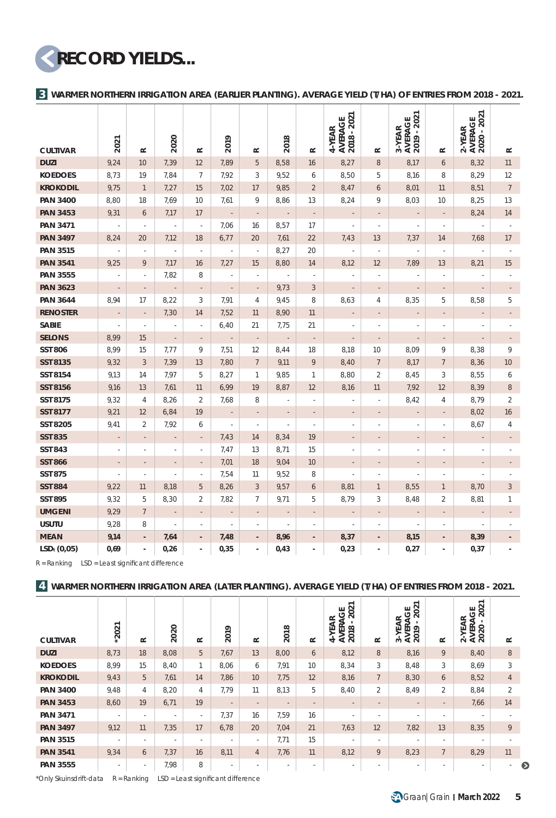**RECORD YIELDS...**

**WARMER NORTHERN IRRIGATION AREA (EARLIER PLANTING). AVERAGE YIELD (T/HA) OF ENTRIES FROM 2018 - 2021. 3**

|                 |                          |                          | 2020                     |                          |                             |                          |                          |                          | 2018 - 2021<br>AVERAGE<br>4-YEAR |                          | AVERAGE<br>2019 - 2021<br>3-YEAR |                          | AVERAGE<br>2020 - 2021<br>2-YEAR |                          |
|-----------------|--------------------------|--------------------------|--------------------------|--------------------------|-----------------------------|--------------------------|--------------------------|--------------------------|----------------------------------|--------------------------|----------------------------------|--------------------------|----------------------------------|--------------------------|
| <b>CULTIVAR</b> | 2021                     | $\simeq$                 |                          | $\simeq$                 | 2019                        | $\simeq$                 | 2018                     | $\simeq$                 |                                  | $\simeq$                 |                                  | $\approx$                |                                  | $\simeq$                 |
| <b>DUZI</b>     | 9,24                     | 10                       | 7,39                     | 12                       | 7,89                        | 5                        | 8,58                     | 16                       | 8,27                             | 8                        | 8,17                             | 6                        | 8,32                             | 11                       |
| <b>KOEDOES</b>  | 8,73                     | 19                       | 7,84                     | $\overline{7}$           | 7,92                        | 3                        | 9,52                     | 6                        | 8,50                             | 5                        | 8,16                             | 8                        | 8,29                             | 12                       |
| <b>KROKODIL</b> | 9,75                     | $\mathbf{1}$             | 7,27                     | 15                       | 7,02                        | 17                       | 9,85                     | $\overline{2}$           | 8,47                             | 6                        | 8,01                             | 11                       | 8,51                             | $7\phantom{.0}$          |
| <b>PAN 3400</b> | 8,80                     | 18                       | 7,69                     | 10                       | 7,61                        | 9                        | 8,86                     | 13                       | 8,24                             | 9                        | 8,03                             | 10                       | 8,25                             | 13                       |
| <b>PAN 3453</b> | 9,31                     | 6                        | 7,17                     | 17                       | $\overline{\phantom{a}}$    | $\overline{\phantom{a}}$ | ÷                        | $\overline{\phantom{a}}$ | ÷,                               | $\overline{\phantom{a}}$ | $\overline{\phantom{a}}$         | $\overline{\phantom{a}}$ | 8,24                             | 14                       |
| <b>PAN 3471</b> | $\overline{\phantom{a}}$ | $\overline{\phantom{a}}$ | $\overline{\phantom{a}}$ | ÷,                       | 7,06                        | 16                       | 8,57                     | 17                       | ä,                               | ä,                       | ÷,                               | ä,                       | ÷                                |                          |
| <b>PAN 3497</b> | 8,24                     | 20                       | 7,12                     | 18                       | 6,77                        | 20                       | 7,61                     | 22                       | 7,43                             | 13                       | 7,37                             | 14                       | 7,68                             | 17                       |
| <b>PAN 3515</b> | $\overline{\phantom{a}}$ | ×,                       | $\overline{\phantom{a}}$ | ÷,                       | J,                          | $\overline{\phantom{a}}$ | 8,27                     | 20                       | ×,                               | ×,                       | ×,                               | ×,                       |                                  |                          |
| <b>PAN 3541</b> | 9,25                     | 9                        | 7,17                     | 16                       | 7,27                        | 15                       | 8,80                     | 14                       | 8,12                             | 12                       | 7,89                             | 13                       | 8,21                             | 15                       |
| <b>PAN 3555</b> | ł,                       | ÷,                       | 7,82                     | 8                        | Ĭ.                          | ł,                       | ÷,                       | J.                       | Ĭ.                               | ×,                       | í,                               | ä,                       |                                  |                          |
| <b>PAN 3623</b> | $\overline{\phantom{a}}$ | $\frac{1}{2}$            | ÷,                       | $\overline{\phantom{a}}$ | $\overline{\phantom{a}}$    | $\overline{\phantom{a}}$ | 9,73                     | 3                        | ÷,                               | ÷.                       | $\overline{\phantom{a}}$         | $\overline{\phantom{a}}$ | $\overline{a}$                   |                          |
| <b>PAN 3644</b> | 8,94                     | 17                       | 8,22                     | 3                        | 7,91                        | 4                        | 9,45                     | 8                        | 8,63                             | 4                        | 8,35                             | 5                        | 8,58                             | 5                        |
| <b>RENOSTER</b> | $\overline{\phantom{a}}$ | $\overline{\phantom{a}}$ | 7,30                     | 14                       | 7,52                        | 11                       | 8,90                     | 11                       | $\overline{\phantom{a}}$         | ÷,                       | $\overline{\phantom{0}}$         | $\overline{\phantom{a}}$ | $\overline{\phantom{a}}$         | $\overline{\phantom{a}}$ |
| <b>SABIE</b>    | ä,                       | ä,                       | ×,                       | J.                       | 6,40                        | 21                       | 7,75                     | 21                       | ä,                               | ä,                       | ٠                                | ٠                        |                                  |                          |
| <b>SELONS</b>   | 8,99                     | 15                       | $\overline{a}$           | $\overline{\phantom{a}}$ | $\overline{\phantom{a}}$    | $\overline{\phantom{a}}$ | $\bar{z}$                | $\overline{\phantom{a}}$ | $\overline{a}$                   | $\frac{1}{2}$            | $\overline{a}$                   | $\overline{\phantom{a}}$ | $\overline{a}$                   |                          |
| <b>SST 806</b>  | 8,99                     | 15                       | 7,77                     | 9                        | 7,51                        | 12                       | 8,44                     | 18                       | 8,18                             | 10                       | 8,09                             | 9                        | 8,38                             | 9                        |
| <b>SST 8135</b> | 9,32                     | $\sqrt{3}$               | 7,39                     | 13                       | 7,80                        | $\overline{7}$           | 9,11                     | 9                        | 8,40                             | $\overline{7}$           | 8,17                             | $\overline{7}$           | 8,36                             | 10                       |
| SST 8154        | 9,13                     | 14                       | 7,97                     | 5                        | 8,27                        | 1                        | 9,85                     | $\mathbf{1}$             | 8,80                             | $\overline{2}$           | 8,45                             | 3                        | 8,55                             | 6                        |
| <b>SST 8156</b> | 9,16                     | 13                       | 7,61                     | 11                       | 6,99                        | 19                       | 8,87                     | 12                       | 8,16                             | 11                       | 7,92                             | 12                       | 8,39                             | $\,8\,$                  |
| SST 8175        | 9,32                     | $\overline{4}$           | 8,26                     | $\overline{2}$           | 7,68                        | 8                        | ×,                       | ä,                       | ä,                               |                          | 8,42                             | $\overline{4}$           | 8,79                             | $\overline{2}$           |
| <b>SST 8177</b> | 9,21                     | 12                       | 6,84                     | 19                       | $\mathcal{L}_{\mathcal{A}}$ | $\overline{\phantom{a}}$ | $\sim$                   | $\sim$                   | $\sim$                           | $\overline{\phantom{a}}$ | $\sim$                           | $\overline{\phantom{a}}$ | 8,02                             | 16                       |
| SST 8205        | 9,41                     | $\overline{2}$           | 7,92                     | 6                        | à,                          | ×,                       | ×,                       | ÷,                       | ×,                               | ä,                       | ä,                               | ×.                       | 8,67                             | $\overline{4}$           |
| <b>SST 835</b>  |                          |                          | $\overline{a}$           | $\overline{a}$           | 7,43                        | 14                       | 8,34                     | 19                       |                                  |                          |                                  |                          |                                  |                          |
| <b>SST 843</b>  | ä,                       | ä,                       | J,                       | ÷,                       | 7,47                        | 13                       | 8,71                     | 15                       | ä,                               | ä,                       | ä,                               | ä,                       |                                  |                          |
| <b>SST 866</b>  | $\overline{\phantom{a}}$ | $\overline{\phantom{a}}$ | $\overline{\phantom{a}}$ | $\centerdot$             | 7,01                        | 18                       | 9,04                     | 10                       | $\overline{\phantom{a}}$         | $\overline{\phantom{a}}$ | $\overline{\phantom{m}}$         | $\overline{\phantom{a}}$ | $\overline{\phantom{a}}$         |                          |
| <b>SST 875</b>  | ä,                       | ä,                       | ÷,                       | ä,                       | 7,54                        | 11                       | 9,52                     | 8                        | ä,                               | ×,                       | L.                               | ×,                       | J.                               |                          |
| <b>SST 884</b>  | 9,22                     | 11                       | 8,18                     | 5                        | 8,26                        | 3                        | 9,57                     | 6                        | 8,81                             | $\mathbf{1}$             | 8,55                             | $\mathbf{1}$             | 8,70                             | 3                        |
| <b>SST 895</b>  | 9,32                     | 5                        | 8,30                     | 2                        | 7,82                        | 7                        | 9,71                     | 5                        | 8,79                             | 3                        | 8,48                             | 2                        | 8,81                             | 1                        |
| <b>UMGENI</b>   | 9,29                     | $\overline{7}$           | $\overline{\phantom{a}}$ | $\overline{a}$           | $\overline{\phantom{a}}$    | $\overline{\phantom{a}}$ | $\overline{\phantom{a}}$ | $\frac{1}{2}$            | $\overline{\phantom{a}}$         | ÷,                       | $\overline{\phantom{a}}$         | $\overline{\phantom{a}}$ | $\overline{\phantom{a}}$         |                          |
| <b>USUTU</b>    | 9,28                     | 8                        |                          |                          | í,                          | ä,                       |                          |                          |                                  |                          |                                  |                          |                                  |                          |
| <b>MEAN</b>     | 9,14                     | $\overline{a}$           | 7,64                     | ÷,                       | 7,48                        | $\overline{a}$           | 8,96                     |                          | 8,37                             | ÷,                       | 8,15                             | ÷,                       | 8,39                             |                          |
| $LSDt$ (0,05)   | 0,69                     | $\mathbf{r}$             | 0,26                     | L.                       | 0,35                        | ÷.                       | 0,43                     | ÷.                       | 0,23                             | ä,                       | 0,27                             | ä,                       | 0,37                             |                          |

 $R = Ranking$   $LSD = Least significant difference$ 

#### **4 WARMER NORTHERN IRRIGATION AREA (LATER PLANTING). AVERAGE YIELD (T/HA) OF ENTRIES FROM 2018 - 2021.**

| <b>CULTIVAR</b> | $*2021$ | $\sim$                   | 2020 | $\sim$ | 2019                     | $\sim$         | 2018   | $\simeq$ | 2021<br>ඊ<br>-YEAR<br><b>AVERA</b><br>2018 - 2<br>₹ | $\sim$         | 2021<br>Ğ<br>$\approx$<br>⋖<br>⋖<br><b>AVER</b><br>ш<br>$\sim$ | $\sim$         | 2021<br>ö<br>Æ<br>⋖<br>AVER.<br>2020<br>닞<br>$\alpha$ | $\sim$         |
|-----------------|---------|--------------------------|------|--------|--------------------------|----------------|--------|----------|-----------------------------------------------------|----------------|----------------------------------------------------------------|----------------|-------------------------------------------------------|----------------|
| <b>DUZI</b>     | 8,73    | 18                       | 8,08 | 5      | 7,67                     | 13             | 8,00   | 6        | 8,12                                                | 8              | 8,16                                                           | 9              | 8,40                                                  | 8              |
| <b>KOEDOES</b>  | 8,99    | 15                       | 8,40 | 1      | 8,06                     | 6              | 7,91   | 10       | 8,34                                                | 3              | 8,48                                                           | 3              | 8,69                                                  | 3              |
| <b>KROKODIL</b> | 9,43    | 5                        | 7,61 | 14     | 7,86                     | 10             | 7,75   | 12       | 8,16                                                | $\overline{7}$ | 8,30                                                           | 6              | 8,52                                                  | $\overline{4}$ |
| <b>PAN 3400</b> | 9,48    | 4                        | 8,20 | 4      | 7.79                     | 11             | 8,13   | 5        | 8,40                                                | $\overline{2}$ | 8,49                                                           | $\overline{2}$ | 8,84                                                  | $\mathfrak{D}$ |
| <b>PAN 3453</b> | 8,60    | 19                       | 6,71 | 19     | $\sim$                   | $\sim$         | $\sim$ | $\sim$   | $\sim$                                              | $\sim$         | $\sim$                                                         | $\sim$         | 7,66                                                  | 14             |
| <b>PAN 3471</b> | $\sim$  | $\overline{\phantom{a}}$ | ٠    | ٠      | 7.37                     | 16             | 7,59   | 16       |                                                     | $\sim$         |                                                                | ٠              |                                                       |                |
| <b>PAN 3497</b> | 9,12    | 11                       | 7,35 | 17     | 6,78                     | 20             | 7,04   | 21       | 7,63                                                | 12             | 7,82                                                           | 13             | 8,35                                                  | 9              |
| <b>PAN 3515</b> | $\sim$  | $\overline{\phantom{a}}$ | ٠    | $\sim$ | $\overline{\phantom{a}}$ | $\sim$         | 7,71   | 15       | $\sim$                                              | ×.             | ×.                                                             | ×.             | $\sim$                                                |                |
| <b>PAN 3541</b> | 9,34    | 6                        | 7,37 | 16     | 8,11                     | $\overline{4}$ | 7,76   | 11       | 8,12                                                | 9              | 8,23                                                           | $7^{\circ}$    | 8,29                                                  | 11             |
| <b>PAN 3555</b> | $\sim$  | ٠                        | 7,98 | 8      | ٠                        | $\sim$         |        | $\sim$   |                                                     | $\sim$         |                                                                |                |                                                       |                |

\*Only Skuinsdrift-data  $R = Ranking$   $LSD = Least$  significant difference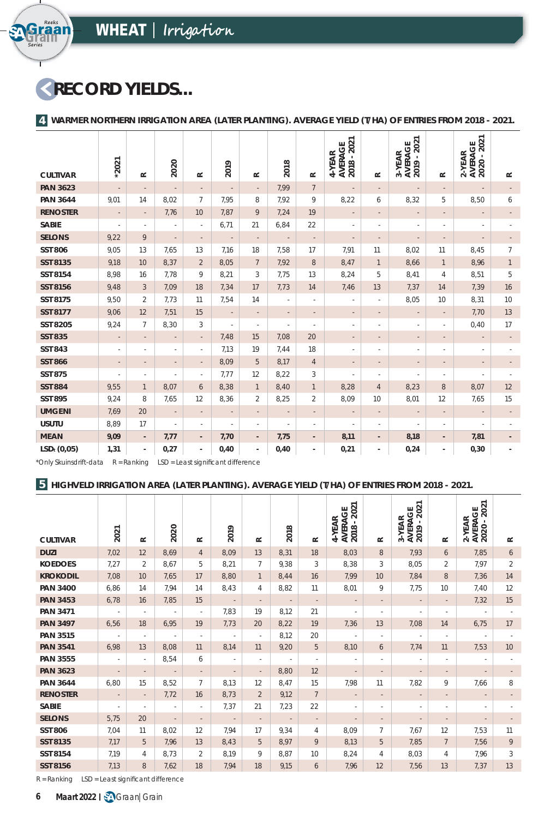# **RECORD YIELDS...**

**Series**

Graan<br>Fraan

**4 WARMER NORTHERN IRRIGATION AREA (LATER PLANTING). AVERAGE YIELD (T/HA) OF ENTRIES FROM 2018 - 2021.**

|                         |                          |                          |                          |                          |                          |                          |                          |                              | 2021                            |                              | 2021                            |                          | 2-YEAR<br>AVERAGE<br>2020 - 2021 |                |
|-------------------------|--------------------------|--------------------------|--------------------------|--------------------------|--------------------------|--------------------------|--------------------------|------------------------------|---------------------------------|------------------------------|---------------------------------|--------------------------|----------------------------------|----------------|
| <b>CULTIVAR</b>         | $*2021$                  | $\simeq$                 | 2020                     | $\simeq$                 | 2019                     | $\simeq$                 | 2018                     | $\simeq$                     | AVERAGE<br>2018 - 202<br>4-YEAR | $\simeq$                     | 3-YEAR<br>AVERAGE<br>2019 - 202 | $\simeq$                 |                                  | $\simeq$       |
| <b>PAN 3623</b>         | $\overline{\phantom{a}}$ | $\overline{a}$           | $\overline{\phantom{a}}$ | $\overline{\phantom{a}}$ | $\overline{\phantom{a}}$ | $\overline{\phantom{a}}$ | 7,99                     | $7\overline{ }$              | $\overline{\phantom{a}}$        | $\overline{\phantom{a}}$     | $\overline{\phantom{a}}$        | $\overline{\phantom{a}}$ | $\overline{\phantom{a}}$         |                |
| <b>PAN 3644</b>         | 9,01                     | 14                       | 8,02                     | 7                        | 7,95                     | 8                        | 7,92                     | 9                            | 8,22                            | 6                            | 8,32                            | 5                        | 8,50                             | 6              |
| <b>RENOSTER</b>         | $\overline{\phantom{a}}$ | $\overline{\phantom{a}}$ | 7,76                     | 10 <sup>°</sup>          | 7,87                     | 9                        | 7,24                     | 19                           | $\overline{\phantom{a}}$        | $\overline{a}$               | $\overline{\phantom{a}}$        | $\overline{\phantom{a}}$ | $\overline{\phantom{a}}$         |                |
| <b>SABIE</b>            | $\overline{\phantom{a}}$ | $\overline{\phantom{a}}$ | $\overline{\phantom{a}}$ | ä,                       | 6,71                     | 21                       | 6,84                     | 22                           | $\sim$                          | $\overline{\phantom{a}}$     | $\overline{\phantom{a}}$        | $\overline{\phantom{a}}$ | $\overline{\phantom{a}}$         |                |
| <b>SELONS</b>           | 9,22                     | 9                        | $\overline{\phantom{a}}$ | $\overline{\phantom{a}}$ | $\overline{\phantom{a}}$ | $\overline{\phantom{a}}$ | $\overline{\phantom{a}}$ | $\overline{\phantom{a}}$     | $\overline{\phantom{a}}$        | $\overline{\phantom{a}}$     | $\overline{\phantom{a}}$        | $\overline{a}$           | $\overline{\phantom{a}}$         |                |
| <b>SST 806</b>          | 9,05                     | 13                       | 7,65                     | 13                       | 7,16                     | 18                       | 7,58                     | 17                           | 7,91                            | 11                           | 8,02                            | 11                       | 8,45                             | $\overline{7}$ |
| SST 8135                | 9,18                     | 10                       | 8,37                     | $\overline{2}$           | 8,05                     | $7\overline{ }$          | 7,92                     | 8                            | 8,47                            | $\mathbf{1}$                 | 8,66                            | $\mathbf{1}$             | 8,96                             | $\mathbf{1}$   |
| SST 8154                | 8,98                     | 16                       | 7,78                     | 9                        | 8,21                     | 3                        | 7,75                     | 13                           | 8,24                            | 5                            | 8,41                            | $\overline{4}$           | 8,51                             | 5              |
| <b>SST 8156</b>         | 9,48                     | 3                        | 7,09                     | 18                       | 7,34                     | 17                       | 7,73                     | 14                           | 7,46                            | 13                           | 7,37                            | 14                       | 7,39                             | 16             |
| <b>SST 8175</b>         | 9,50                     | $\overline{2}$           | 7,73                     | 11                       | 7,54                     | 14                       | $\overline{\phantom{a}}$ | $\overline{\phantom{a}}$     | $\overline{\phantom{a}}$        | ×,                           | 8,05                            | 10                       | 8,31                             | 10             |
| <b>SST 8177</b>         | 9,06                     | 12                       | 7,51                     | 15                       | $\overline{\phantom{a}}$ | $\overline{\phantom{a}}$ | $\overline{\phantom{a}}$ | $\overline{\phantom{a}}$     | $\overline{\phantom{a}}$        | $\overline{\phantom{a}}$     | $\overline{\phantom{a}}$        | $\overline{\phantom{a}}$ | 7,70                             | 13             |
| <b>SST 8205</b>         | 9,24                     | $\overline{7}$           | 8,30                     | 3                        | $\overline{\phantom{a}}$ | $\overline{\phantom{a}}$ | $\overline{\phantom{a}}$ | $\overline{\phantom{a}}$     | $\overline{\phantom{a}}$        | $\overline{a}$               | $\overline{\phantom{a}}$        | ٠                        | 0,40                             | 17             |
| <b>SST 835</b>          | $\overline{\phantom{a}}$ | $\overline{\phantom{a}}$ | $\overline{\phantom{a}}$ | $\overline{\phantom{a}}$ | 7,48                     | 15                       | 7,08                     | 20                           | $\overline{\phantom{a}}$        | $\qquad \qquad \blacksquare$ | $\overline{\phantom{a}}$        | $\overline{\phantom{a}}$ | $\overline{\phantom{a}}$         |                |
| <b>SST 843</b>          | $\sim$                   | ٠                        | ٠                        | ٠                        | 7,13                     | 19                       | 7,44                     | 18                           | $\overline{\phantom{a}}$        | ٠                            | $\overline{\phantom{a}}$        | ٠                        | ٠                                |                |
| <b>SST 866</b>          | $\overline{\phantom{a}}$ | $\overline{\phantom{a}}$ | $\overline{a}$           |                          | 8,09                     | 5                        | 8,17                     | $\overline{4}$               | $\overline{\phantom{a}}$        |                              | $\overline{\phantom{a}}$        |                          | $\overline{\phantom{a}}$         |                |
| <b>SST 875</b>          | ٠                        | $\overline{\phantom{a}}$ | ä,                       | ٠                        | 7,77                     | 12                       | 8,22                     | 3                            | ÷.                              | ×,                           | $\overline{\phantom{a}}$        | ٠                        | $\overline{\phantom{a}}$         |                |
| <b>SST 884</b>          | 9,55                     | $\mathbf{1}$             | 8,07                     | 6                        | 8,38                     | $\mathbf{1}$             | 8,40                     | $\mathbf{1}$                 | 8,28                            | $\overline{4}$               | 8,23                            | 8                        | 8,07                             | 12             |
| <b>SST 895</b>          | 9,24                     | 8                        | 7,65                     | 12                       | 8,36                     | 2                        | 8,25                     | 2                            | 8,09                            | 10                           | 8,01                            | 12                       | 7,65                             | 15             |
| <b>UMGENI</b>           | 7,69                     | 20                       | $\overline{\phantom{a}}$ | $\overline{\phantom{a}}$ | $\overline{\phantom{a}}$ | $\overline{\phantom{a}}$ | $\overline{\phantom{a}}$ | $\overline{\phantom{a}}$     | $\overline{\phantom{a}}$        | $\overline{\phantom{a}}$     | $\overline{\phantom{a}}$        | $\overline{\phantom{a}}$ | $\overline{\phantom{a}}$         |                |
| <b>USUTU</b>            | 8,89                     | 17                       | $\overline{\phantom{a}}$ | ٠                        | $\overline{\phantom{a}}$ | ٠                        | $\sim$                   | $\overline{\phantom{a}}$     | ä,                              | $\overline{\phantom{a}}$     | $\overline{\phantom{a}}$        | ٠                        | $\overline{\phantom{a}}$         |                |
| <b>MEAN</b>             | 9,09                     | $\overline{\phantom{a}}$ | 7,77                     | $\overline{\phantom{a}}$ | 7,70                     | $\blacksquare$           | 7,75                     | $\overline{\phantom{a}}$     | 8,11                            | $\overline{\phantom{a}}$     | 8,18                            | $\overline{\phantom{a}}$ | 7,81                             |                |
| LSD <sub>t</sub> (0,05) | 1,31                     | ٠                        | 0,27                     | $\overline{a}$           | 0,40                     | ٠                        | 0,40                     | $\qquad \qquad \blacksquare$ | 0,21                            | $\blacksquare$               | 0,24                            | ٠                        | 0,30                             |                |

 $*$ Only Skuinsdrift-data  $R = Ranking$  LSD = Least significant difference

## **HIGHVELD IRRIGATION AREA (LATER PLANTING). AVERAGE YIELD (T/HA) OF ENTRIES FROM 2018 - 2021. 5**

| <b>CULTIVAR</b> | 2021                     | $\simeq$                 | 2020                     | $\simeq$                 | 2019                     | $\simeq$                 | 2018                     | $\simeq$                 | 2021<br>AVERAGE<br>4-YEAR<br>$\mathbf{r}$<br>2018 | $\simeq$                 | 2021<br><b>AVERAGE</b><br>2019 - 202<br>3-YEAR | $\simeq$                 | 2021<br><b>AVERAGE</b><br>2020 - 202<br>$2-YER$ | $\simeq$       |
|-----------------|--------------------------|--------------------------|--------------------------|--------------------------|--------------------------|--------------------------|--------------------------|--------------------------|---------------------------------------------------|--------------------------|------------------------------------------------|--------------------------|-------------------------------------------------|----------------|
| <b>DUZI</b>     | 7,02                     | 12                       | 8,69                     | $\overline{4}$           | 8,09                     | 13                       | 8,31                     | 18                       | 8,03                                              | 8                        | 7,93                                           | 6                        | 7,85                                            | 6              |
| <b>KOEDOES</b>  | 7,27                     | 2                        | 8,67                     | 5                        | 8,21                     | $\overline{7}$           | 9,38                     | 3                        | 8,38                                              | 3                        | 8,05                                           | $\overline{2}$           | 7,97                                            | $\overline{2}$ |
| <b>KROKODIL</b> | 7,08                     | 10                       | 7,65                     | 17                       | 8,80                     | $\mathbf{1}$             | 8,44                     | 16                       | 7,99                                              | 10                       | 7,84                                           | 8                        | 7,36                                            | 14             |
| <b>PAN 3400</b> | 6,86                     | 14                       | 7,94                     | 14                       | 8,43                     | 4                        | 8,82                     | 11                       | 8,01                                              | 9                        | 7,75                                           | 10                       | 7,40                                            | 12             |
| <b>PAN 3453</b> | 6,78                     | 16                       | 7,85                     | 15                       | $\sim$                   | $\overline{\phantom{a}}$ | $\sim$ $-$               | $\overline{\phantom{a}}$ | $\overline{\phantom{a}}$                          | $\overline{\phantom{a}}$ | $\overline{\phantom{a}}$                       | $\overline{\phantom{a}}$ | 7,32                                            | 15             |
| <b>PAN 3471</b> | $\overline{\phantom{a}}$ | $\overline{\phantom{a}}$ | $\overline{\phantom{a}}$ | $\sim$                   | 7,83                     | 19                       | 8,12                     | 21                       | $\overline{\phantom{a}}$                          | ٠                        | $\overline{\phantom{a}}$                       | ٠                        | $\overline{\phantom{a}}$                        | $\sim$         |
| <b>PAN 3497</b> | 6,56                     | 18                       | 6,95                     | 19                       | 7,73                     | 20                       | 8,22                     | 19                       | 7,36                                              | 13                       | 7,08                                           | 14                       | 6,75                                            | 17             |
| <b>PAN 3515</b> | $\epsilon$               | $\sim$                   | ×.                       | $\overline{\phantom{a}}$ | $\overline{\phantom{a}}$ | $\sim$                   | 8,12                     | 20                       | $\overline{\phantom{a}}$                          | ٠                        | $\overline{\phantom{a}}$                       | $\sim$                   | $\overline{\phantom{a}}$                        |                |
| <b>PAN 3541</b> | 6,98                     | 13                       | 8,08                     | 11                       | 8,14                     | 11                       | 9,20                     | 5                        | 8,10                                              | 6                        | 7,74                                           | 11                       | 7,53                                            | 10             |
| <b>PAN 3555</b> | $\sim$                   | $\overline{\phantom{a}}$ | 8,54                     | 6                        | $\overline{\phantom{a}}$ | $\overline{\phantom{a}}$ | $\overline{\phantom{a}}$ | $\overline{\phantom{a}}$ | $\overline{\phantom{a}}$                          | ٠                        | $\overline{\phantom{a}}$                       | $\overline{\phantom{a}}$ | $\overline{\phantom{a}}$                        | $\sim$         |
| <b>PAN 3623</b> | $\overline{\phantom{a}}$ | $\sim$                   | $\overline{\phantom{a}}$ | $\overline{\phantom{a}}$ | $\overline{\phantom{a}}$ | $\overline{\phantom{a}}$ | 8,80                     | 12                       | $\overline{\phantom{a}}$                          | $\overline{\phantom{a}}$ |                                                | $\overline{\phantom{a}}$ | $\overline{\phantom{a}}$                        |                |
| <b>PAN 3644</b> | 6,80                     | 15                       | 8,52                     | $\overline{7}$           | 8,13                     | 12                       | 8,47                     | 15                       | 7,98                                              | 11                       | 7,82                                           | 9                        | 7,66                                            | 8              |
| <b>RENOSTER</b> | $\overline{\phantom{a}}$ | $\overline{\phantom{a}}$ | 7,72                     | 16                       | 8,73                     | $\overline{2}$           | 9,12                     | $7\overline{ }$          | $\overline{\phantom{a}}$                          | $\overline{\phantom{a}}$ | $\overline{\phantom{a}}$                       | $\overline{\phantom{a}}$ | $\overline{\phantom{a}}$                        |                |
| SABIE           | $\overline{\phantom{a}}$ | ٠                        | $\sim$                   | $\overline{\phantom{a}}$ | 7,37                     | 21                       | 7,23                     | 22                       | $\overline{\phantom{a}}$                          | ٠                        | $\sim$                                         | $\overline{\phantom{a}}$ | $\sim$                                          |                |
| <b>SELONS</b>   | 5,75                     | 20                       | $\overline{\phantom{a}}$ | $\overline{\phantom{a}}$ | $\sim$                   | $\overline{\phantom{a}}$ | $\sim$                   | $\overline{\phantom{a}}$ | $\overline{\phantom{a}}$                          | $\overline{\phantom{a}}$ | $\overline{\phantom{a}}$                       | $\sim$                   | $\overline{\phantom{a}}$                        |                |
| <b>SST 806</b>  | 7,04                     | 11                       | 8,02                     | 12                       | 7,94                     | 17                       | 9,34                     | 4                        | 8,09                                              | $\overline{7}$           | 7,67                                           | 12                       | 7,53                                            | 11             |
| SST 8135        | 7,17                     | 5                        | 7,96                     | 13                       | 8,43                     | 5                        | 8,97                     | 9                        | 8,13                                              | 5                        | 7,85                                           | $7\overline{ }$          | 7.56                                            | 9              |
| SST 8154        | 7.19                     | 4                        | 8,73                     | $\overline{2}$           | 8,19                     | 9                        | 8,87                     | 10                       | 8,24                                              | $\overline{4}$           | 8,03                                           | $\overline{4}$           | 7.96                                            | 3              |
| SST 8156        | 7,13                     | 8                        | 7,62                     | 18                       | 7,94                     | 18                       | 9,15                     | 6                        | 7,96                                              | 12                       | 7,56                                           | 13                       | 7,37                                            | 13             |

 $R = Ranking$   $LSD = Least significant difference$